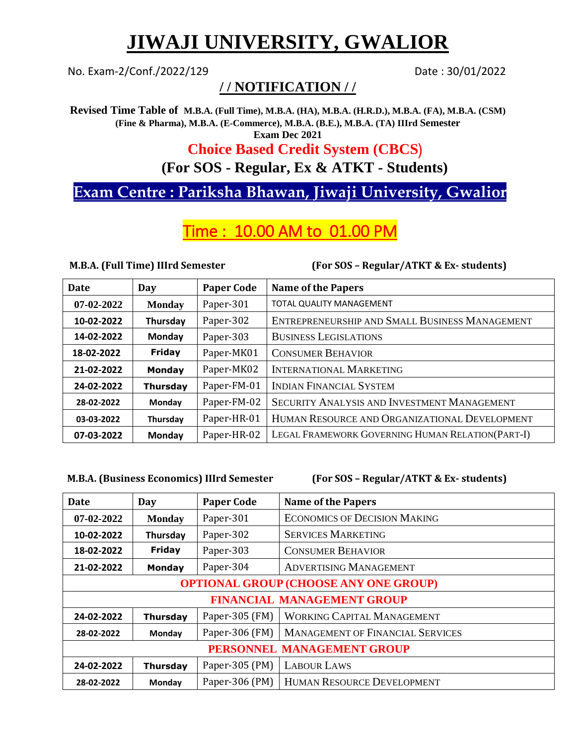# **JIWAJI UNIVERSITY, GWALIOR**

No. Exam-2/Conf./2022/129 Date: 30/01/2022

## **/ / NOTIFICATION / /**

**Revised Time Table of M.B.A. (Full Time), M.B.A. (HA), M.B.A. (H.R.D.), M.B.A. (FA), M.B.A. (CSM) (Fine & Pharma), M.B.A. (E-Commerce), M.B.A. (B.E.), M.B.A. (TA) IIIrd Semester Exam Dec 2021**

## **Choice Based Credit System (CBCS**½

## **(For SOS - Regular, Ex & ATKT - Students)**

## **Exam Centre : Pariksha Bhawan, Jiwaji University, Gwalior**

## Time : 10.00 AM to 01.00 PM

**M.B.A. (Full Time) IIIrd Semester (For SOS – Regular/ATKT & Ex- students)** 

| <b>Date</b>  | Day             | <b>Paper Code</b> | <b>Name of the Papers</b>                        |
|--------------|-----------------|-------------------|--------------------------------------------------|
| $07-02-2022$ | <b>Monday</b>   | Paper-301         | TOTAL QUALITY MANAGEMENT                         |
| 10-02-2022   | Thursday        | Paper-302         | ENTREPRENEURSHIP AND SMALL BUSINESS MANAGEMENT   |
| 14-02-2022   | Monday          | Paper-303         | <b>BUSINESS LEGISLATIONS</b>                     |
| 18-02-2022   | <b>Friday</b>   | Paper-MK01        | <b>CONSUMER BEHAVIOR</b>                         |
| 21-02-2022   | <b>Monday</b>   | Paper-MK02        | <b>INTERNATIONAL MARKETING</b>                   |
| 24-02-2022   | <b>Thursday</b> | Paper-FM-01       | <b>INDIAN FINANCIAL SYSTEM</b>                   |
| 28-02-2022   | Monday          | Paper-FM-02       | SECURITY ANALYSIS AND INVESTMENT MANAGEMENT      |
| 03-03-2022   | Thursday        | Paper-HR-01       | HUMAN RESOURCE AND ORGANIZATIONAL DEVELOPMENT    |
| 07-03-2022   | Monday          | Paper-HR-02       | LEGAL FRAMEWORK GOVERNING HUMAN RELATION(PART-I) |

#### **M.B.A. (Business Economics) IIIrd Semester (For SOS – Regular/ATKT & Ex- students)**

| <b>Date</b>                                                                          | Day             | <b>Paper Code</b> | <b>Name of the Papers</b>               |  |
|--------------------------------------------------------------------------------------|-----------------|-------------------|-----------------------------------------|--|
| $07-02-2022$                                                                         | <b>Monday</b>   | Paper-301         | <b>ECONOMICS OF DECISION MAKING</b>     |  |
| 10-02-2022                                                                           | Thursday        | Paper-302         | <b>SERVICES MARKETING</b>               |  |
| 18-02-2022                                                                           | <b>Friday</b>   | Paper-303         | <b>CONSUMER BEHAVIOR</b>                |  |
| 21-02-2022                                                                           | Monday          | Paper-304         | <b>ADVERTISING MANAGEMENT</b>           |  |
| <b>OPTIONAL GROUP (CHOOSE ANY ONE GROUP)</b>                                         |                 |                   |                                         |  |
| <b>FINANCIAL MANAGEMENT GROUP</b>                                                    |                 |                   |                                         |  |
| <b>WORKING CAPITAL MANAGEMENT</b><br>Paper-305 (FM)<br><b>Thursday</b><br>24-02-2022 |                 |                   |                                         |  |
| 28-02-2022                                                                           | Monday          | Paper-306 (FM)    | <b>MANAGEMENT OF FINANCIAL SERVICES</b> |  |
| PERSONNEL MANAGEMENT GROUP                                                           |                 |                   |                                         |  |
| 24-02-2022                                                                           | <b>Thursday</b> | Paper-305 (PM)    | <b>LABOUR LAWS</b>                      |  |
| 28-02-2022                                                                           | Monday          | Paper-306 (PM)    | HUMAN RESOURCE DEVELOPMENT              |  |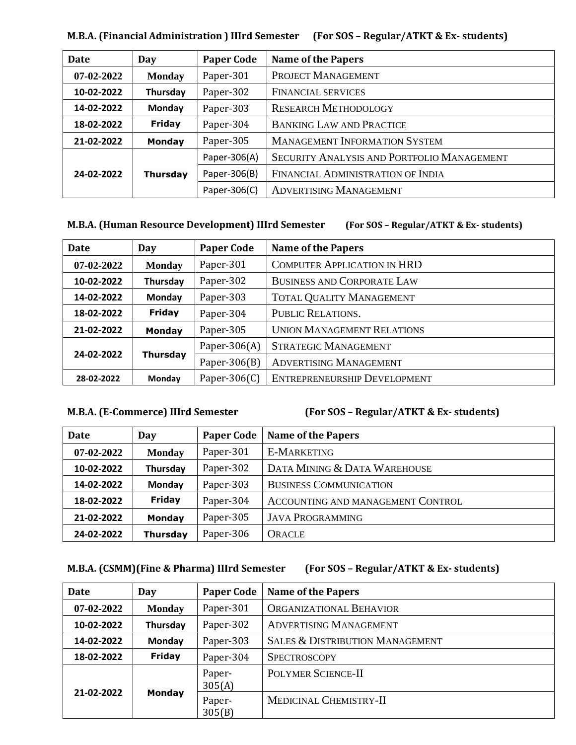| Date             | Day             | <b>Paper Code</b> | <b>Name of the Papers</b>                  |
|------------------|-----------------|-------------------|--------------------------------------------|
| $07 - 02 - 2022$ | <b>Monday</b>   | Paper-301         | PROJECT MANAGEMENT                         |
| 10-02-2022       | Thursday        | Paper-302         | <b>FINANCIAL SERVICES</b>                  |
| 14-02-2022       | Monday          | Paper-303         | <b>RESEARCH METHODOLOGY</b>                |
| 18-02-2022       | <b>Friday</b>   | Paper-304         | <b>BANKING LAW AND PRACTICE</b>            |
| 21-02-2022       | <b>Monday</b>   | Paper-305         | <b>MANAGEMENT INFORMATION SYSTEM</b>       |
| 24-02-2022       | <b>Thursday</b> | Paper-306(A)      | SECURITY ANALYSIS AND PORTFOLIO MANAGEMENT |
|                  |                 | Paper-306(B)      | FINANCIAL ADMINISTRATION OF INDIA          |
|                  |                 | Paper-306(C)      | <b>ADVERTISING MANAGEMENT</b>              |

**M.B.A. (Financial Administration ) IIIrd Semester (For SOS – Regular/ATKT & Ex- students)**

#### **M.B.A. (Human Resource Development) IIIrd Semester (For SOS – Regular/ATKT & Ex- students)**

| <b>Date</b>  | Day             | <b>Paper Code</b> | <b>Name of the Papers</b>          |
|--------------|-----------------|-------------------|------------------------------------|
| $07-02-2022$ | <b>Monday</b>   | Paper-301         | <b>COMPUTER APPLICATION IN HRD</b> |
| 10-02-2022   | Thursday        | Paper-302         | <b>BUSINESS AND CORPORATE LAW</b>  |
| 14-02-2022   | <b>Monday</b>   | Paper-303         | <b>TOTAL QUALITY MANAGEMENT</b>    |
| 18-02-2022   | <b>Friday</b>   | Paper-304         | PUBLIC RELATIONS.                  |
| 21-02-2022   | <b>Monday</b>   | Paper-305         | <b>UNION MANAGEMENT RELATIONS</b>  |
| 24-02-2022   | <b>Thursday</b> | Paper-306 $(A)$   | <b>STRATEGIC MANAGEMENT</b>        |
|              |                 | Paper-306 $(B)$   | <b>ADVERTISING MANAGEMENT</b>      |
| 28-02-2022   | Monday          | Paper-306 $(C)$   | ENTREPRENEURSHIP DEVELOPMENT       |

**M.B.A. (E-Commerce) IIIrd Semester (For SOS – Regular/ATKT & Ex- students)**

| Date             | Day             | <b>Paper Code</b> | <b>Name of the Papers</b>         |
|------------------|-----------------|-------------------|-----------------------------------|
| $07 - 02 - 2022$ | <b>Monday</b>   | Paper-301         | <b>E-MARKETING</b>                |
| 10-02-2022       | Thursday        | Paper-302         | DATA MINING & DATA WAREHOUSE      |
| 14-02-2022       | Monday          | Paper-303         | <b>BUSINESS COMMUNICATION</b>     |
| 18-02-2022       | <b>Friday</b>   | Paper-304         | ACCOUNTING AND MANAGEMENT CONTROL |
| 21-02-2022       | <b>Monday</b>   | Paper-305         | <b>JAVA PROGRAMMING</b>           |
| 24-02-2022       | <b>Thursday</b> | Paper-306         | <b>ORACLE</b>                     |

#### **M.B.A. (CSMM)(Fine & Pharma) IIIrd Semester (For SOS – Regular/ATKT & Ex- students)**

| Date         | Day           | <b>Paper Code</b> | <b>Name of the Papers</b>                  |
|--------------|---------------|-------------------|--------------------------------------------|
| $07-02-2022$ | <b>Monday</b> | Paper-301         | <b>ORGANIZATIONAL BEHAVIOR</b>             |
| 10-02-2022   | Thursday      | Paper-302         | <b>ADVERTISING MANAGEMENT</b>              |
| 14-02-2022   | Monday        | Paper-303         | <b>SALES &amp; DISTRIBUTION MANAGEMENT</b> |
| 18-02-2022   | <b>Friday</b> | Paper-304         | <b>SPECTROSCOPY</b>                        |
| 21-02-2022   | <b>Monday</b> | Paper-<br>305(A)  | POLYMER SCIENCE-II                         |
|              |               | Paper-<br>305(B)  | MEDICINAL CHEMISTRY-II                     |